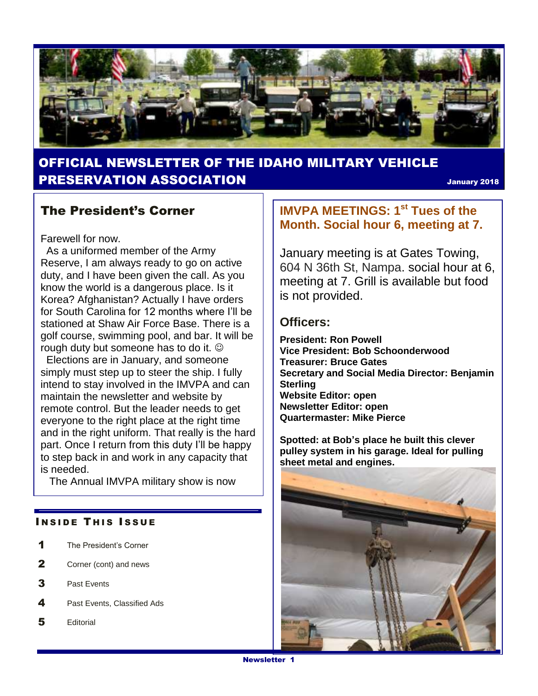

## OFFICIAL NEWSLETTER OF THE IDAHO MILITARY VEHICLE PRESERVATION ASSOCIATION January <sup>2018</sup>

## The President's Corner

Farewell for now.

 As a uniformed member of the Army Reserve, I am always ready to go on active duty, and I have been given the call. As you know the world is a dangerous place. Is it Korea? Afghanistan? Actually I have orders for South Carolina for 12 months where I'll be stationed at Shaw Air Force Base. There is a golf course, swimming pool, and bar. It will be rough duty but someone has to do it.

Elections are in January, and someone simply must step up to steer the ship. I fully intend to stay involved in the IMVPA and can maintain the newsletter and website by remote control. But the leader needs to get everyone to the right place at the right time and in the right uniform. That really is the hard part. Once I return from this duty I'll be happy to step back in and work in any capacity that is needed.

The Annual IMVPA military show is now

#### **INSIDE THIS ISSUE**

- 1 The President's Corner
- 2 Corner (cont) and news
- 3 Past Events
- 4 Past Events, Classified Ads
- 5 Editorial

## **IMVPA MEETINGS: 1st Tues of the Month. Social hour 6, meeting at 7.**

January meeting is at Gates Towing, 604 N 36th St, Nampa. social hour at 6, meeting at 7. Grill is available but food is not provided.

#### **Officers:**

**President: Ron Powell Vice President: Bob Schoonderwood Treasurer: Bruce Gates Secretary and Social Media Director: Benjamin Sterling Website Editor: open Newsletter Editor: open Quartermaster: Mike Pierce**

**Spotted: at Bob's place he built this clever pulley system in his garage. Ideal for pulling sheet metal and engines.**

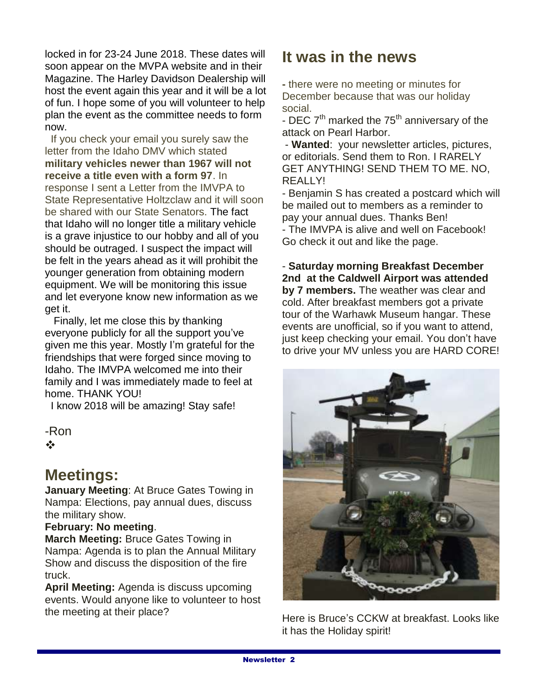locked in for 23-24 June 2018. These dates will soon appear on the MVPA website and in their Magazine. The Harley Davidson Dealership will host the event again this year and it will be a lot of fun. I hope some of you will volunteer to help plan the event as the committee needs to form now.

If you check your email you surely saw the letter from the Idaho DMV which stated **military vehicles newer than 1967 will not receive a title even with a form 97**. In response I sent a Letter from the IMVPA to State Representative Holtzclaw and it will soon be shared with our State Senators. The fact that Idaho will no longer title a military vehicle is a grave injustice to our hobby and all of you should be outraged. I suspect the impact will be felt in the years ahead as it will prohibit the younger generation from obtaining modern equipment. We will be monitoring this issue and let everyone know new information as we get it.

 Finally, let me close this by thanking everyone publicly for all the support you've given me this year. Mostly I'm grateful for the friendships that were forged since moving to Idaho. The IMVPA welcomed me into their family and I was immediately made to feel at home. THANK YOU!

I know 2018 will be amazing! Stay safe!

-Ron  $\frac{1}{2}$ 

# **Meetings:**

**January Meeting**: At Bruce Gates Towing in Nampa: Elections, pay annual dues, discuss the military show.

### **February: No meeting**.

**March Meeting:** Bruce Gates Towing in Nampa: Agenda is to plan the Annual Military Show and discuss the disposition of the fire truck.

**April Meeting:** Agenda is discuss upcoming events. Would anyone like to volunteer to host the meeting at their place?

## **It was in the news**

**-** there were no meeting or minutes for December because that was our holiday social.

- DEC  $7<sup>th</sup>$  marked the  $75<sup>th</sup>$  anniversary of the attack on Pearl Harbor.

- **Wanted**: your newsletter articles, pictures, or editorials. Send them to Ron. I RARELY GET ANYTHING! SEND THEM TO ME. NO, REALLY!

- Benjamin S has created a postcard which will be mailed out to members as a reminder to pay your annual dues. Thanks Ben! - The IMVPA is alive and well on Facebook! Go check it out and like the page.

- **Saturday morning Breakfast December 2nd at the Caldwell Airport was attended by 7 members.** The weather was clear and cold. After breakfast members got a private tour of the Warhawk Museum hangar. These events are unofficial, so if you want to attend, just keep checking your email. You don't have to drive your MV unless you are HARD CORE!



Here is Bruce's CCKW at breakfast. Looks like it has the Holiday spirit!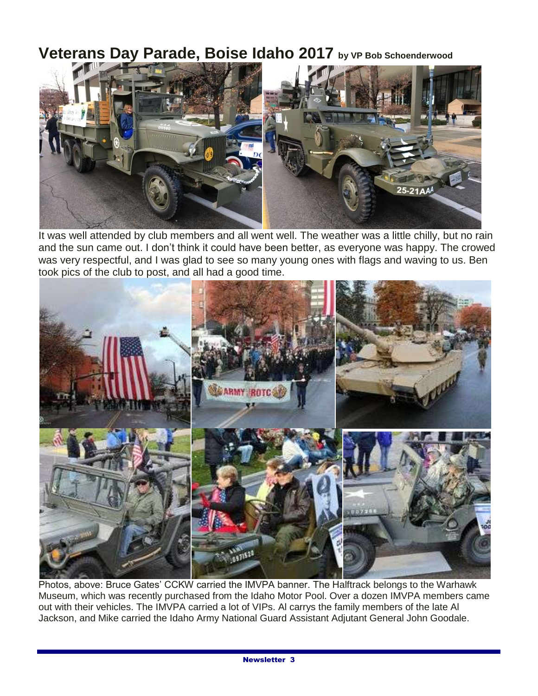## **Veterans Day Parade, Boise Idaho 2017 by VP Bob Schoenderwood**



It was well attended by club members and all went well. The weather was a little chilly, but no rain and the sun came out. I don't think it could have been better, as everyone was happy. The crowed was very respectful, and I was glad to see so many young ones with flags and waving to us. Ben took pics of the club to post, and all had a good time.



Photos, above: Bruce Gates' CCKW carried the IMVPA banner. The Halftrack belongs to the Warhawk Museum, which was recently purchased from the Idaho Motor Pool. Over a dozen IMVPA members came out with their vehicles. The IMVPA carried a lot of VIPs. Al carrys the family members of the late Al Jackson, and Mike carried the Idaho Army National Guard Assistant Adjutant General John Goodale.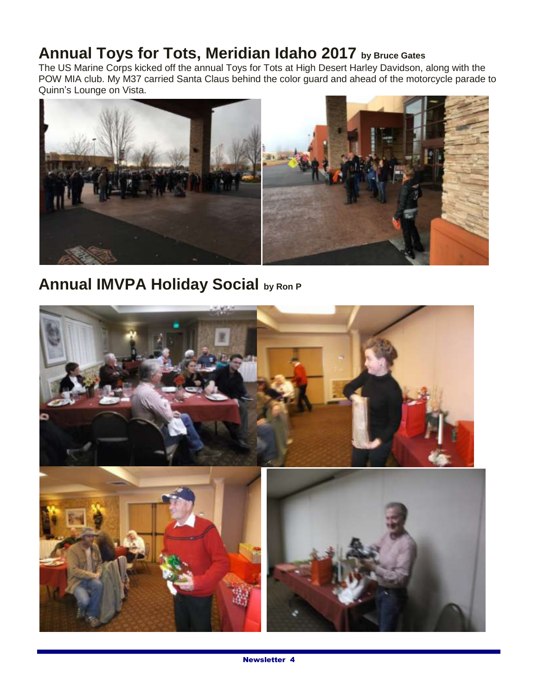## **Annual Toys for Tots, Meridian Idaho 2017 by Bruce Gates**

The US Marine Corps kicked off the annual Toys for Tots at High Desert Harley Davidson, along with the POW MIA club. My M37 carried Santa Claus behind the color guard and ahead of the motorcycle parade to Quinn's Lounge on Vista.



# **Annual IMVPA Holiday Social by Ron P**